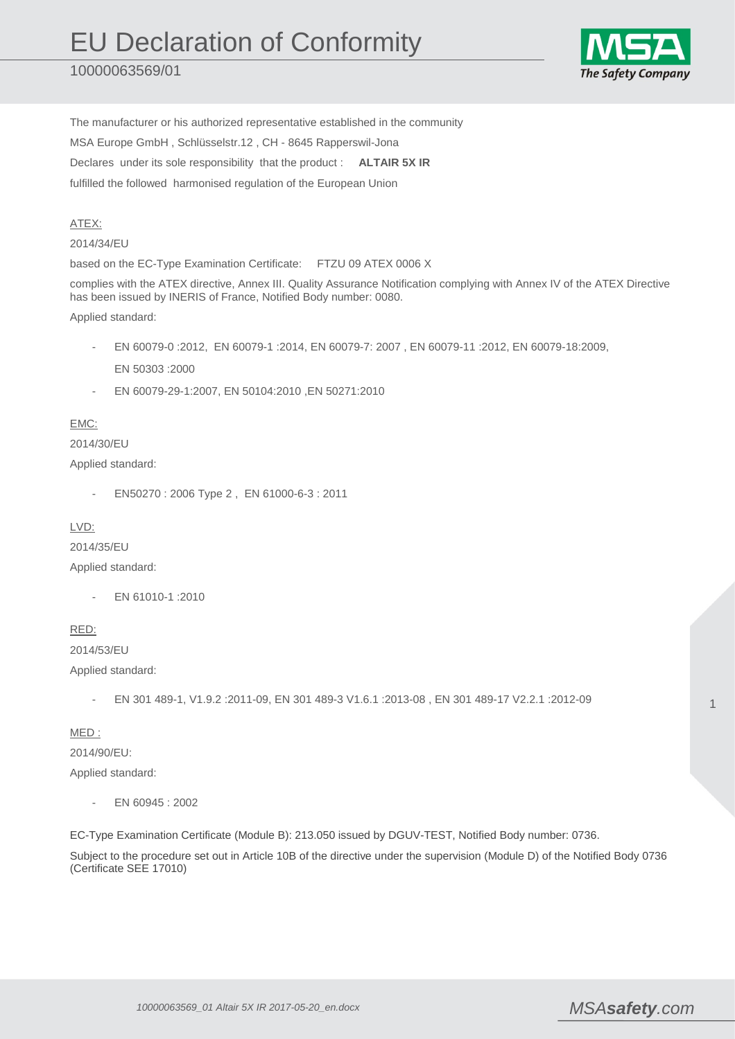10000063569/01



The manufacturer or his authorized representative established in the community MSA Europe GmbH , Schlüsselstr.12 , CH - 8645 Rapperswil-Jona Declares under its sole responsibility that the product : **ALTAIR 5X IR**  fulfilled the followed harmonised regulation of the European Union

## ATEX:

2014/34/EU

based on the EC-Type Examination Certificate: FTZU 09 ATEX 0006 X

complies with the ATEX directive, Annex III. Quality Assurance Notification complying with Annex IV of the ATEX Directive has been issued by INERIS of France, Notified Body number: 0080.

Applied standard:

- EN 60079-0 :2012, EN 60079-1 :2014, EN 60079-7: 2007 , EN 60079-11 :2012, EN 60079-18:2009, EN 50303 :2000
- EN 60079-29-1:2007, EN 50104:2010 ,EN 50271:2010

## EMC:

## 2014/30/EU

Applied standard:

- EN50270 : 2006 Type 2 , EN 61000-6-3 : 2011

LVD:

2014/35/EU Applied standard:

- EN 61010-1 :2010

RED:

2014/53/EU

Applied standard:

- EN 301 489-1, V1.9.2 :2011-09, EN 301 489-3 V1.6.1 :2013-08 , EN 301 489-17 V2.2.1 :2012-09

MED :

2014/90/EU: Applied standard:

EN 60945 : 2002

EC-Type Examination Certificate (Module B): 213.050 issued by DGUV-TEST, Notified Body number: 0736.

Subject to the procedure set out in Article 10B of the directive under the supervision (Module D) of the Notified Body 0736 (Certificate SEE 17010)